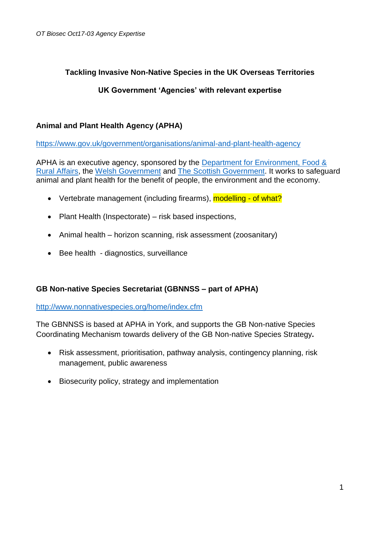# **Tackling Invasive Non-Native Species in the UK Overseas Territories**

# **UK Government 'Agencies' with relevant expertise**

# **Animal and Plant Health Agency (APHA)**

<https://www.gov.uk/government/organisations/animal-and-plant-health-agency>

APHA is an executive agency, sponsored by the [Department for Environment, Food &](https://www.gov.uk/government/organisations/department-for-environment-food-rural-affairs)  [Rural Affairs,](https://www.gov.uk/government/organisations/department-for-environment-food-rural-affairs) the [Welsh Government](https://www.gov.uk/government/organisations/welsh-government) and [The Scottish Government.](https://www.gov.uk/government/organisations/the-scottish-government) It works to safeguard animal and plant health for the benefit of people, the environment and the economy.

- Vertebrate management (including firearms), modelling of what?
- Plant Health (Inspectorate) risk based inspections,
- Animal health horizon scanning, risk assessment (zoosanitary)
- Bee health diagnostics, surveillance

# **GB Non-native Species Secretariat (GBNNSS – part of APHA)**

#### <http://www.nonnativespecies.org/home/index.cfm>

The GBNNSS is based at APHA in York, and supports the GB Non-native Species Coordinating Mechanism towards delivery of the GB Non-native Species Strategy**.**

- Risk assessment, prioritisation, pathway analysis, contingency planning, risk management, public awareness
- Biosecurity policy, strategy and implementation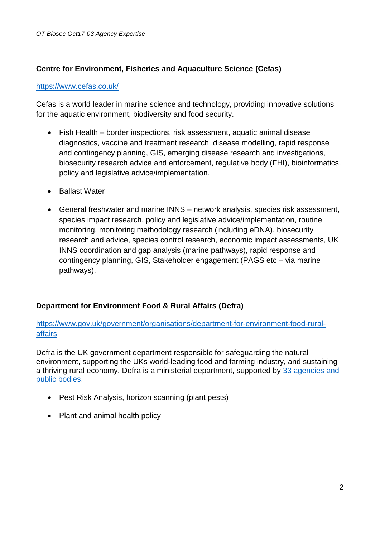# **Centre for Environment, Fisheries and Aquaculture Science (Cefas)**

#### <https://www.cefas.co.uk/>

Cefas is a world leader in marine science and technology, providing innovative solutions for the aquatic environment, biodiversity and food security.

- Fish Health border inspections, risk assessment, aquatic animal disease diagnostics, vaccine and treatment research, disease modelling, rapid response and contingency planning, GIS, emerging disease research and investigations, biosecurity research advice and enforcement, regulative body (FHI), bioinformatics, policy and legislative advice/implementation.
- Ballast Water
- General freshwater and marine INNS network analysis, species risk assessment, species impact research, policy and legislative advice/implementation, routine monitoring, monitoring methodology research (including eDNA), biosecurity research and advice, species control research, economic impact assessments, UK INNS coordination and gap analysis (marine pathways), rapid response and contingency planning, GIS, Stakeholder engagement (PAGS etc – via marine pathways).

# **Department for Environment Food & Rural Affairs (Defra)**

[https://www.gov.uk/government/organisations/department-for-environment-food-rural](https://www.gov.uk/government/organisations/department-for-environment-food-rural-affairs)[affairs](https://www.gov.uk/government/organisations/department-for-environment-food-rural-affairs)

Defra is the UK government department responsible for safeguarding the natural environment, supporting the UKs world-leading food and farming industry, and sustaining a thriving rural economy. Defra is a ministerial department, supported by [33 agencies and](https://www.gov.uk/government/organisations#department-for-environment-food-rural-affairs)  [public bodies.](https://www.gov.uk/government/organisations#department-for-environment-food-rural-affairs)

- Pest Risk Analysis, horizon scanning (plant pests)
- Plant and animal health policy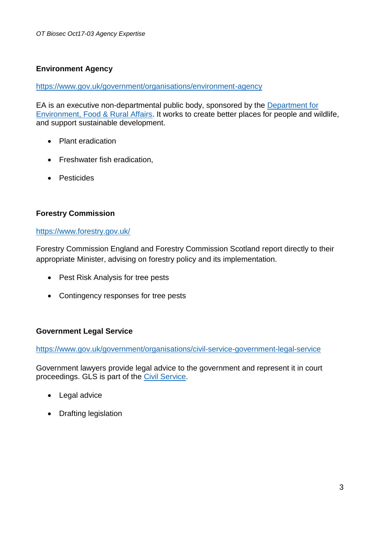# **Environment Agency**

<https://www.gov.uk/government/organisations/environment-agency>

EA is an executive non-departmental public body, sponsored by the [Department for](https://www.gov.uk/government/organisations/department-for-environment-food-rural-affairs)  [Environment, Food & Rural Affairs.](https://www.gov.uk/government/organisations/department-for-environment-food-rural-affairs) It works to create better places for people and wildlife, and support sustainable development.

- Plant eradication
- Freshwater fish eradication,
- **•** Pesticides

### **Forestry Commission**

#### <https://www.forestry.gov.uk/>

Forestry Commission England and Forestry Commission Scotland report directly to their appropriate Minister, advising on forestry policy and its implementation.

- Pest Risk Analysis for tree pests
- Contingency responses for tree pests

#### **Government Legal Service**

<https://www.gov.uk/government/organisations/civil-service-government-legal-service>

Government lawyers provide legal advice to the government and represent it in court proceedings. GLS is part of the [Civil Service.](https://www.gov.uk/government/organisations/civil-service)

- Legal advice
- Drafting legislation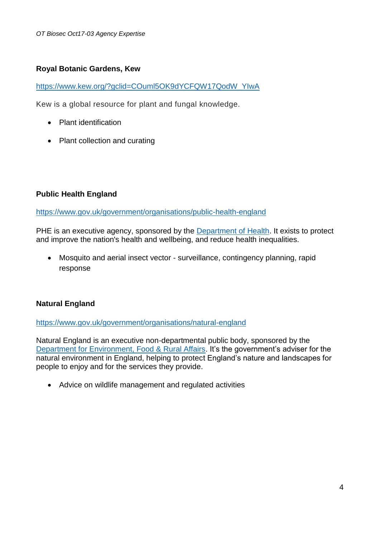#### **Royal Botanic Gardens, Kew**

[https://www.kew.org/?gclid=COuml5OK9dYCFQW17QodW\\_YIwA](https://www.kew.org/?gclid=COuml5OK9dYCFQW17QodW_YIwA)

Kew is a global resource for plant and fungal knowledge.

- Plant identification
- Plant collection and curating

#### **Public Health England**

<https://www.gov.uk/government/organisations/public-health-england>

PHE is an executive agency, sponsored by the [Department of Health.](https://www.gov.uk/government/organisations/department-of-health) It exists to protect and improve the nation's health and wellbeing, and reduce health inequalities.

 Mosquito and aerial insect vector - surveillance, contingency planning, rapid response

# **Natural England**

<https://www.gov.uk/government/organisations/natural-england>

Natural England is an executive non-departmental public body, sponsored by the [Department for Environment, Food & Rural Affairs.](https://www.gov.uk/government/organisations/department-for-environment-food-rural-affairs) It's the government's adviser for the natural environment in England, helping to protect England's nature and landscapes for people to enjoy and for the services they provide.

Advice on wildlife management and regulated activities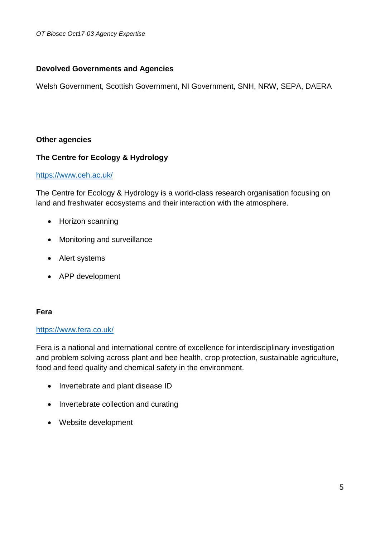# **Devolved Governments and Agencies**

Welsh Government, Scottish Government, NI Government, SNH, NRW, SEPA, DAERA

# **Other agencies**

### **The Centre for Ecology & Hydrology**

#### <https://www.ceh.ac.uk/>

The Centre for Ecology & Hydrology is a world-class research organisation focusing on land and freshwater ecosystems and their interaction with the atmosphere.

- Horizon scanning
- Monitoring and surveillance
- Alert systems
- APP development

#### **Fera**

### <https://www.fera.co.uk/>

Fera is a national and international centre of excellence for interdisciplinary investigation and problem solving across plant and bee health, crop protection, sustainable agriculture, food and feed quality and chemical safety in the environment.

- Invertebrate and plant disease ID
- Invertebrate collection and curating
- Website development